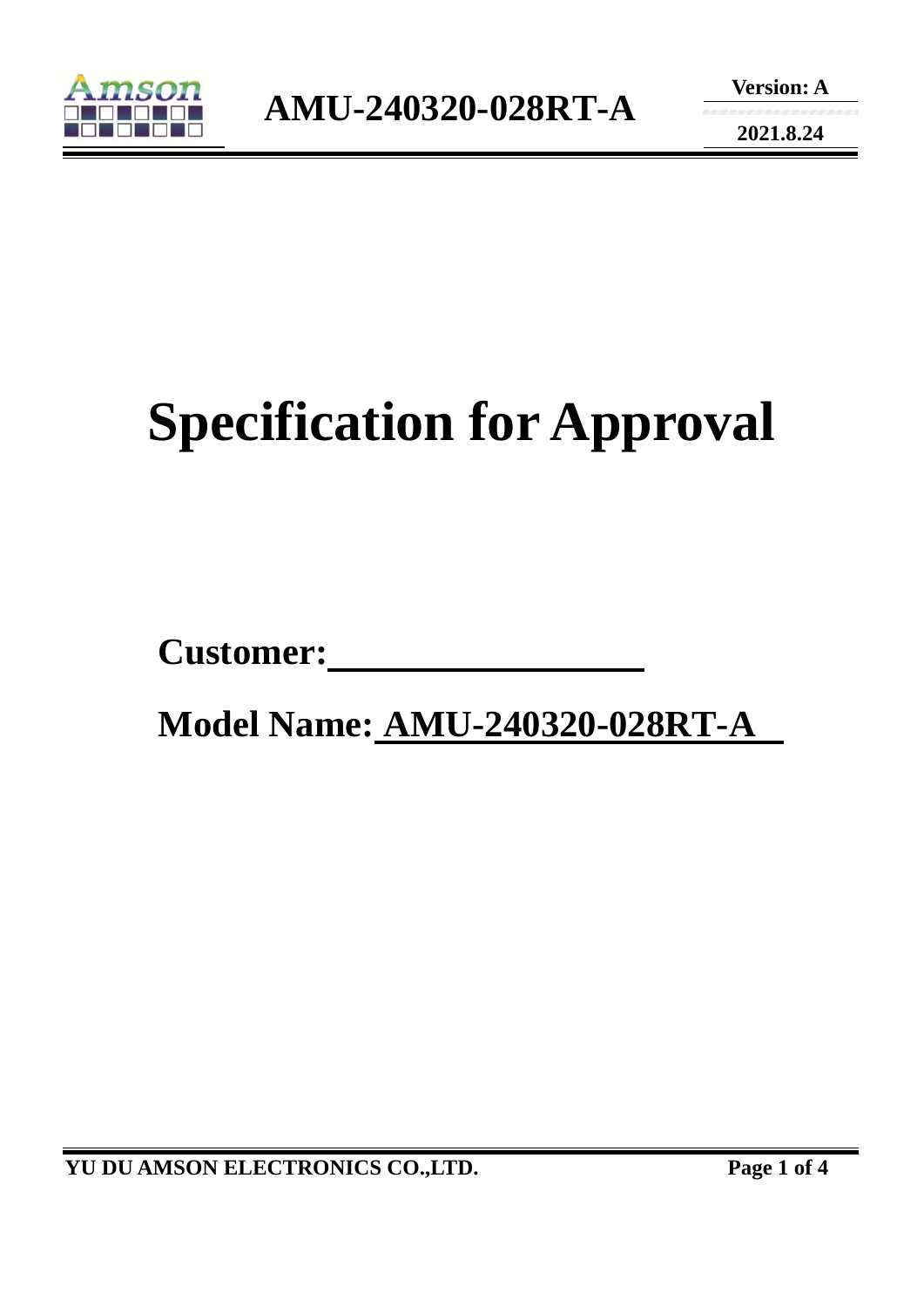

**2021.8.24** 

# **Specification for Approval**

Customer:

 **Model Name: AMU-240320-028RT-A**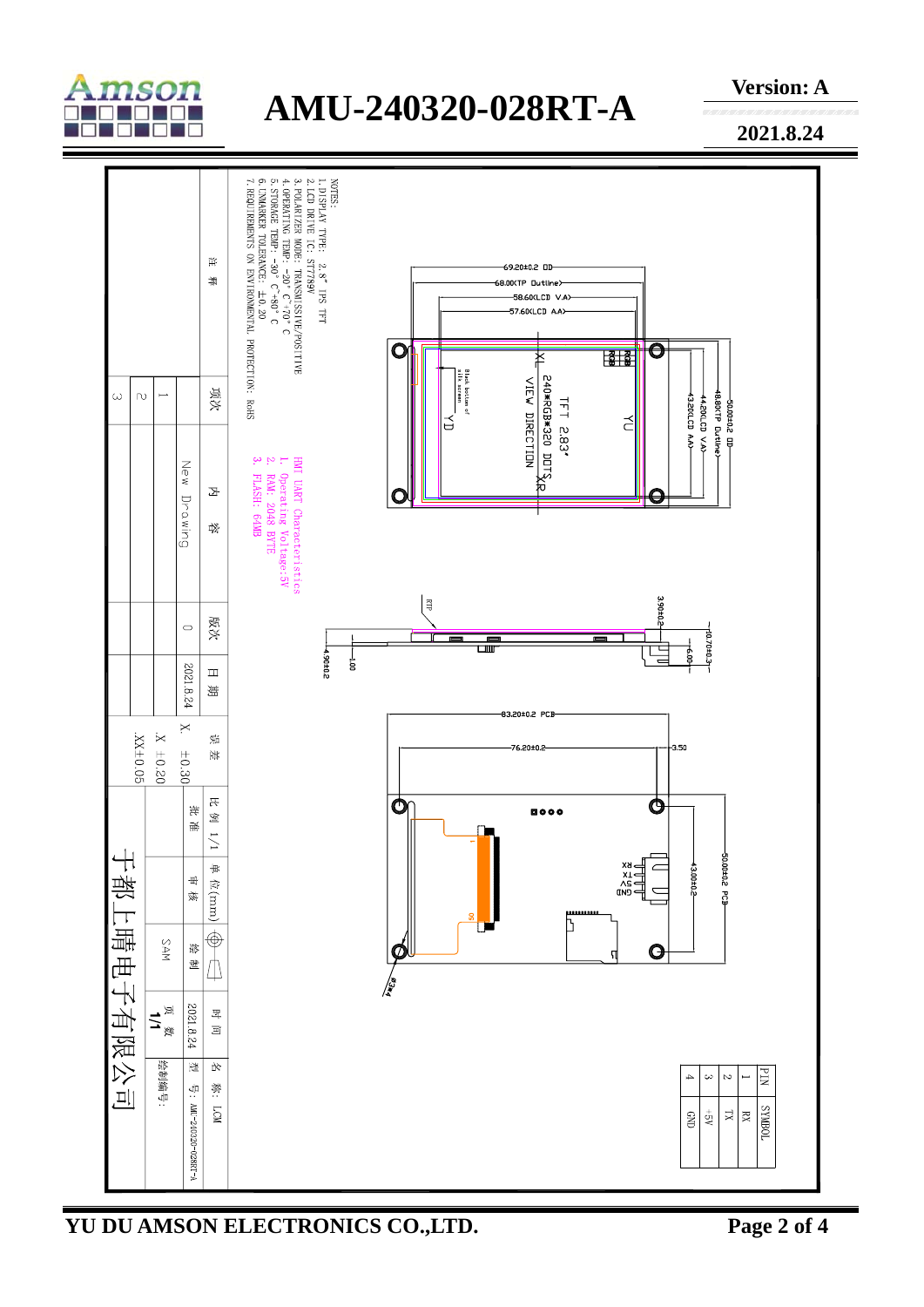

## **AMU-240320-028RT-A**

**Version: A** 

**2021.8.24** 



**YU DU AMSON ELECTRONICS CO.,LTD. Page 2 of 4**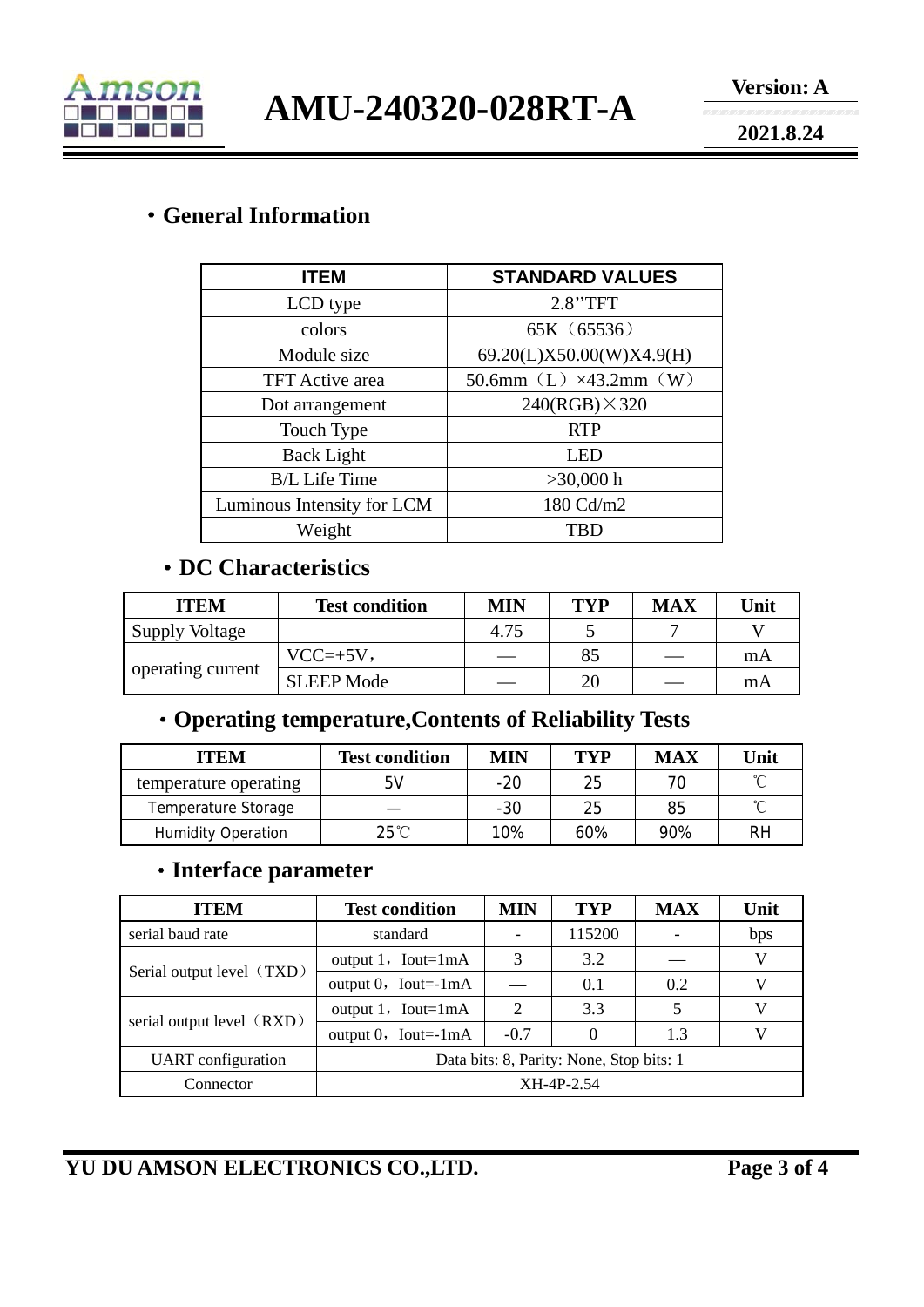

**AMU-240320-028RT-A** 

**2021.8.24** 

#### ·**General Information**

| <b>ITEM</b>                | <b>STANDARD VALUES</b>            |  |  |  |
|----------------------------|-----------------------------------|--|--|--|
| LCD type                   | 2.8"TFT                           |  |  |  |
| colors                     | 65K (65536)                       |  |  |  |
| Module size                | 69.20(L)X50.00(W)X4.9(H)          |  |  |  |
| <b>TFT</b> Active area     | 50.6mm $(L) \times 43.2$ mm $(W)$ |  |  |  |
| Dot arrangement            | $240(RGB) \times 320$             |  |  |  |
| Touch Type                 | <b>RTP</b>                        |  |  |  |
| <b>Back Light</b>          | LED                               |  |  |  |
| <b>B/L</b> Life Time       | $>30,000$ h                       |  |  |  |
| Luminous Intensity for LCM | 180 Cd/m2                         |  |  |  |
| Weight                     | <b>TBD</b>                        |  |  |  |

#### ·**DC Characteristics**

| <b>ITEM</b>           | <b>Test condition</b> | MIN  | TVP | <b>MAX</b> | Unit |
|-----------------------|-----------------------|------|-----|------------|------|
| <b>Supply Voltage</b> |                       | 4.75 |     |            |      |
| operating current     | $VCC=+5V,$            |      | 85  |            | mA   |
|                       | <b>SLEEP Mode</b>     |      | 20  |            | mA   |

### ·**Operating temperature,Contents of Reliability Tests**

| <b>ITEM</b>               | <b>Test condition</b> | <b>MIN</b> | TYP | <b>MAX</b> | Unit |
|---------------------------|-----------------------|------------|-----|------------|------|
| temperature operating     | 5V                    | $-20$      | 25  |            | ∽    |
| Temperature Storage       |                       | $-30$      | 25  | 85         | ∽    |
| <b>Humidity Operation</b> | $25^{\circ}$ C        | 10%        | 60% | 90%        | RH   |

#### ·**Interface parameter**

| <b>ITEM</b>               | <b>Test condition</b>                    | MIN                         | <b>TYP</b> | <b>MAX</b> | Unit |
|---------------------------|------------------------------------------|-----------------------------|------------|------------|------|
| serial baud rate          | standard                                 |                             | 115200     |            | bps  |
| Serial output level (TXD) | output $1$ , Iout=1mA                    | 3                           | 3.2        |            | V    |
|                           | output $0$ , Iout=-1mA                   |                             | 0.1        | 0.2        | V    |
| serial output level (RXD) | output $1$ , Iout=1mA                    | $\mathcal{D}_{\mathcal{L}}$ | 3.3        |            | V    |
|                           | output $0$ , Iout=-1mA                   | $-0.7$                      |            | 1.3        | V    |
| <b>UART</b> configuration | Data bits: 8, Parity: None, Stop bits: 1 |                             |            |            |      |
| Connector                 | XH-4P-2.54                               |                             |            |            |      |